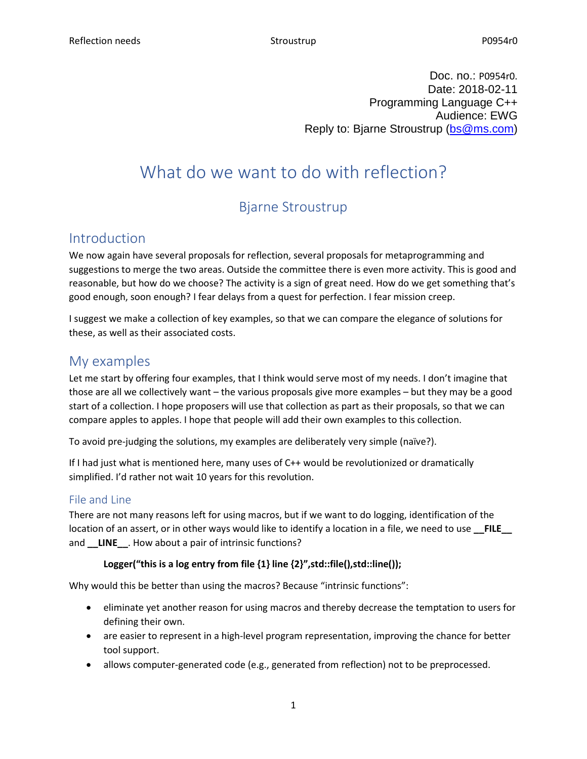Doc. no.: P0954r0. Date: 2018-02-11 Programming Language C++ Audience: EWG Reply to: Bjarne Stroustrup [\(bs@ms.com\)](mailto:bs@ms.com)

# What do we want to do with reflection?

## Bjarne Stroustrup

## Introduction

We now again have several proposals for reflection, several proposals for metaprogramming and suggestions to merge the two areas. Outside the committee there is even more activity. This is good and reasonable, but how do we choose? The activity is a sign of great need. How do we get something that's good enough, soon enough? I fear delays from a quest for perfection. I fear mission creep.

I suggest we make a collection of key examples, so that we can compare the elegance of solutions for these, as well as their associated costs.

## My examples

Let me start by offering four examples, that I think would serve most of my needs. I don't imagine that those are all we collectively want – the various proposals give more examples – but they may be a good start of a collection. I hope proposers will use that collection as part as their proposals, so that we can compare apples to apples. I hope that people will add their own examples to this collection.

To avoid pre-judging the solutions, my examples are deliberately very simple (naïve?).

If I had just what is mentioned here, many uses of C++ would be revolutionized or dramatically simplified. I'd rather not wait 10 years for this revolution.

### File and Line

There are not many reasons left for using macros, but if we want to do logging, identification of the location of an assert, or in other ways would like to identify a location in a file, we need to use **FILE** and **\_\_LINE\_\_**. How about a pair of intrinsic functions?

#### Logger("this is a log entry from file {1} line {2}", std::file(), std::line());

Why would this be better than using the macros? Because "intrinsic functions":

- eliminate yet another reason for using macros and thereby decrease the temptation to users for defining their own.
- are easier to represent in a high-level program representation, improving the chance for better tool support.
- allows computer-generated code (e.g., generated from reflection) not to be preprocessed.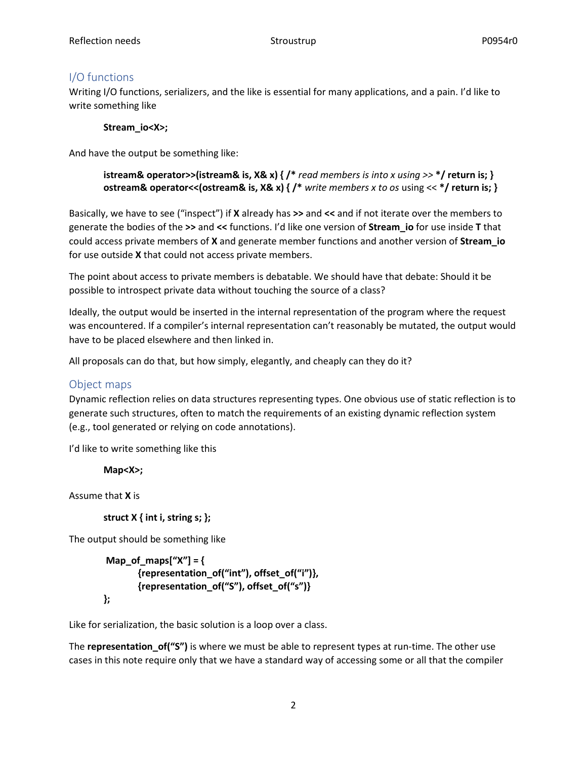#### I/O functions

Writing I/O functions, serializers, and the like is essential for many applications, and a pain. I'd like to write something like

#### **Stream\_io<X>;**

And have the output be something like:

**istream& operator>>(istream& is, X& x) { /\*** *read members is into x using >>* **\*/ return is; } ostream& operator<<(ostream& is, X& x) { /\*** *write members x to os* using << **\*/ return is; }**

Basically, we have to see ("inspect") if **X** already has **>>** and **<<** and if not iterate over the members to generate the bodies of the **>>** and **<<** functions. I'd like one version of **Stream\_io** for use inside **T** that could access private members of **X** and generate member functions and another version of **Stream\_io** for use outside **X** that could not access private members.

The point about access to private members is debatable. We should have that debate: Should it be possible to introspect private data without touching the source of a class?

Ideally, the output would be inserted in the internal representation of the program where the request was encountered. If a compiler's internal representation can't reasonably be mutated, the output would have to be placed elsewhere and then linked in.

All proposals can do that, but how simply, elegantly, and cheaply can they do it?

#### Object maps

Dynamic reflection relies on data structures representing types. One obvious use of static reflection is to generate such structures, often to match the requirements of an existing dynamic reflection system (e.g., tool generated or relying on code annotations).

I'd like to write something like this

**Map<X>;**

Assume that **X** is

**struct X { int i, string s; };**

The output should be something like

```
Map_of_maps["X"] = {
       {representation_of("int"), offset_of("i")},
       {representation_of("S"), offset_of("s")}
};
```
Like for serialization, the basic solution is a loop over a class.

The **representation\_of("S")** is where we must be able to represent types at run-time. The other use cases in this note require only that we have a standard way of accessing some or all that the compiler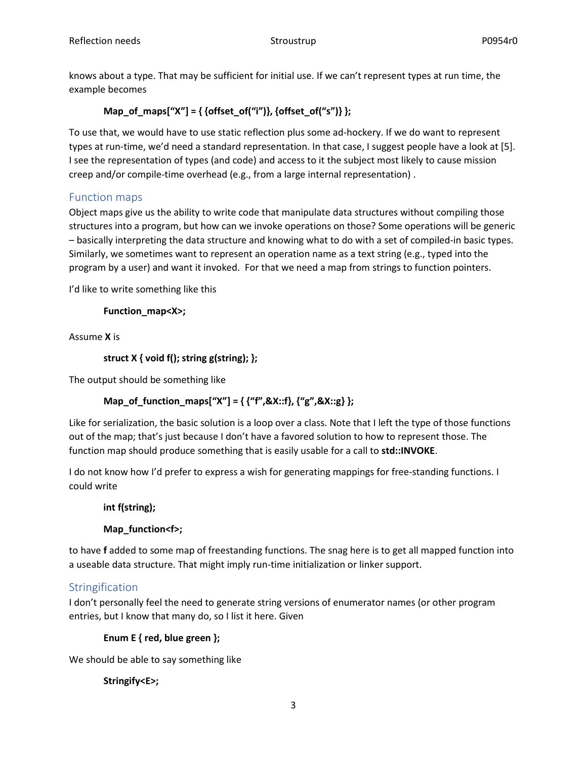knows about a type. That may be sufficient for initial use. If we can't represent types at run time, the example becomes

### **Map\_of\_maps["X"] = { {offset\_of("i")}, {offset\_of("s")} };**

To use that, we would have to use static reflection plus some ad-hockery. If we do want to represent types at run-time, we'd need a standard representation. In that case, I suggest people have a look at [5]. I see the representation of types (and code) and access to it the subject most likely to cause mission creep and/or compile-time overhead (e.g., from a large internal representation) .

### Function maps

Object maps give us the ability to write code that manipulate data structures without compiling those structures into a program, but how can we invoke operations on those? Some operations will be generic – basically interpreting the data structure and knowing what to do with a set of compiled-in basic types. Similarly, we sometimes want to represent an operation name as a text string (e.g., typed into the program by a user) and want it invoked. For that we need a map from strings to function pointers.

I'd like to write something like this

**Function\_map<X>;**

Assume **X** is

```
struct X { void f(); string g(string); };
```
The output should be something like

#### **Map\_of\_function\_maps["X"] = { {"f",&X::f}, {"g",&X::g} };**

Like for serialization, the basic solution is a loop over a class. Note that I left the type of those functions out of the map; that's just because I don't have a favored solution to how to represent those. The function map should produce something that is easily usable for a call to **std::INVOKE**.

I do not know how I'd prefer to express a wish for generating mappings for free-standing functions. I could write

#### **int f(string);**

#### **Map\_function<f>;**

to have **f** added to some map of freestanding functions. The snag here is to get all mapped function into a useable data structure. That might imply run-time initialization or linker support.

#### **Stringification**

I don't personally feel the need to generate string versions of enumerator names (or other program entries, but I know that many do, so I list it here. Given

**Enum E { red, blue green };**

We should be able to say something like

**Stringify<E>;**